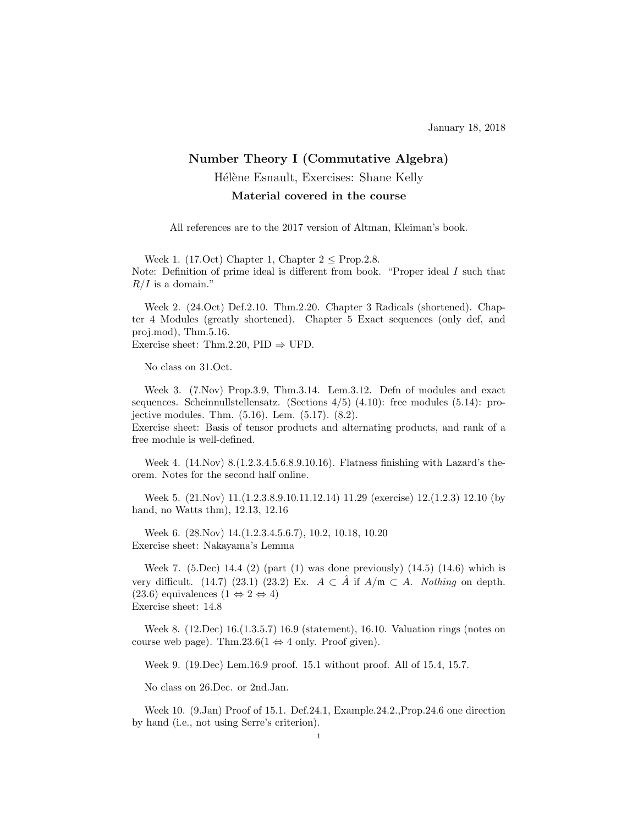## Number Theory I (Commutative Algebra) Hélène Esnault, Exercises: Shane Kelly Material covered in the course

All references are to the 2017 version of Altman, Kleiman's book.

Week 1. (17.Oct) Chapter 1, Chapter  $2 <$  Prop. 2.8. Note: Definition of prime ideal is different from book. "Proper ideal I such that  $R/I$  is a domain."

Week 2. (24.Oct) Def.2.10. Thm.2.20. Chapter 3 Radicals (shortened). Chapter 4 Modules (greatly shortened). Chapter 5 Exact sequences (only def, and proj.mod), Thm.5.16. Exercise sheet: Thm.2.20, PID  $\Rightarrow$  UFD.

No class on 31.Oct.

Week 3. (7.Nov) Prop.3.9, Thm.3.14. Lem.3.12. Defn of modules and exact sequences. Scheinnullstellensatz. (Sections 4/5) (4.10): free modules (5.14): projective modules. Thm. (5.16). Lem. (5.17). (8.2).

Exercise sheet: Basis of tensor products and alternating products, and rank of a free module is well-defined.

Week 4. (14.Nov) 8.(1.2.3.4.5.6.8.9.10.16). Flatness finishing with Lazard's theorem. Notes for the second half online.

Week 5. (21.Nov) 11.(1.2.3.8.9.10.11.12.14) 11.29 (exercise) 12.(1.2.3) 12.10 (by hand, no Watts thm), 12.13, 12.16

Week 6. (28.Nov) 14.(1.2.3.4.5.6.7), 10.2, 10.18, 10.20 Exercise sheet: Nakayama's Lemma

Week 7. (5.Dec) 14.4 (2) (part (1) was done previously) (14.5) (14.6) which is very difficult. (14.7) (23.1) (23.2) Ex.  $A \subset \overline{A}$  if  $A/\mathfrak{m} \subset A$ . Nothing on depth. (23.6) equivalences  $(1 \Leftrightarrow 2 \Leftrightarrow 4)$ Exercise sheet: 14.8

Week 8. (12.Dec) 16.(1.3.5.7) 16.9 (statement), 16.10. Valuation rings (notes on course web page). Thm.23.6(1  $\Leftrightarrow$  4 only. Proof given).

Week 9. (19.Dec) Lem.16.9 proof. 15.1 without proof. All of 15.4, 15.7.

No class on 26.Dec. or 2nd.Jan.

Week 10. (9.Jan) Proof of 15.1. Def.24.1, Example.24.2.,Prop.24.6 one direction by hand (i.e., not using Serre's criterion).